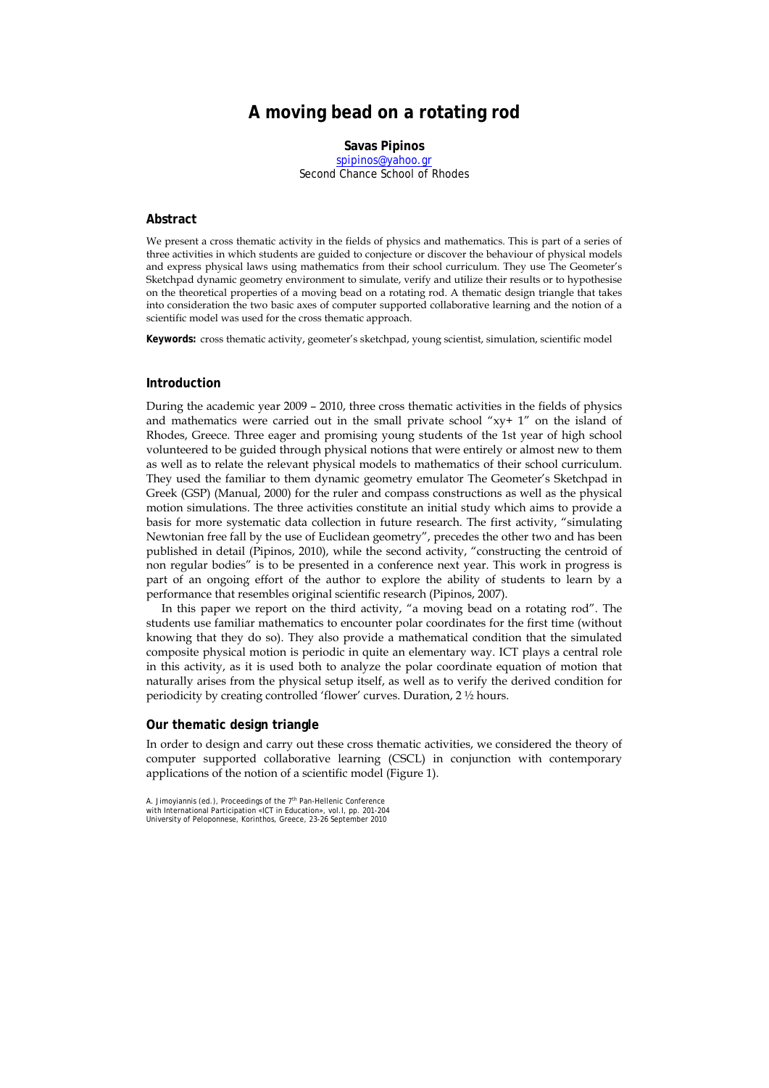# **A moving bead on a rotating rod**

**Savas Pipinos** 

spipinos@yahoo.gr Second Chance School of Rhodes

### **Abstract**

We present a cross thematic activity in the fields of physics and mathematics. This is part of a series of three activities in which students are guided to conjecture or discover the behaviour of physical models and express physical laws using mathematics from their school curriculum. They use The Geometer's Sketchpad dynamic geometry environment to simulate, verify and utilize their results or to hypothesise on the theoretical properties of a moving bead on a rotating rod. A thematic design triangle that takes into consideration the two basic axes of computer supported collaborative learning and the notion of a scientific model was used for the cross thematic approach.

**Keywords:** cross thematic activity, geometer's sketchpad, young scientist, simulation, scientific model

#### **Introduction**

During the academic year 2009 – 2010, three cross thematic activities in the fields of physics and mathematics were carried out in the small private school " $xy + 1$ " on the island of Rhodes, Greece. Three eager and promising young students of the 1st year of high school volunteered to be guided through physical notions that were entirely or almost new to them as well as to relate the relevant physical models to mathematics of their school curriculum. They used the familiar to them dynamic geometry emulator The Geometer's Sketchpad in Greek (GSP) (Manual, 2000) for the ruler and compass constructions as well as the physical motion simulations. The three activities constitute an initial study which aims to provide a basis for more systematic data collection in future research. The first activity, "simulating Newtonian free fall by the use of Euclidean geometry", precedes the other two and has been published in detail (Pipinos, 2010), while the second activity, "constructing the centroid of non regular bodies" is to be presented in a conference next year. This work in progress is part of an ongoing effort of the author to explore the ability of students to learn by a performance that resembles original scientific research (Pipinos, 2007).

In this paper we report on the third activity, "a moving bead on a rotating rod". The students use familiar mathematics to encounter polar coordinates for the first time (without knowing that they do so). They also provide a mathematical condition that the simulated composite physical motion is periodic in quite an elementary way. ICT plays a central role in this activity, as it is used both to analyze the polar coordinate equation of motion that naturally arises from the physical setup itself, as well as to verify the derived condition for periodicity by creating controlled 'flower' curves. Duration, 2 ½ hours.

#### **Our thematic design triangle**

In order to design and carry out these cross thematic activities, we considered the theory of computer supported collaborative learning (CSCL) in conjunction with contemporary applications of the notion of a scientific model (Figure 1).

A. Jimoyiannis (ed.), Proceedings of the 7<sup>th</sup> Pan-Hellenic Conference<br>with International Participation «ICT in Education», vol.I, pp. 201-204 University of Peloponnese, Korinthos, Greece, 23-26 September 2010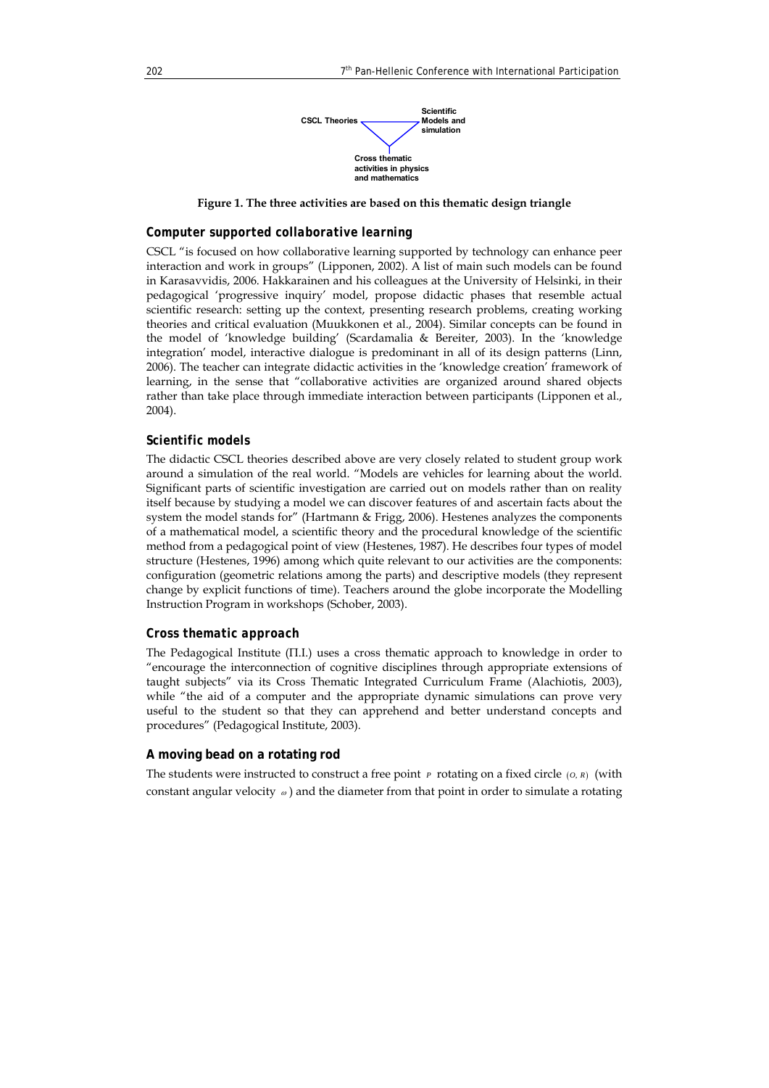

**Figure 1. The three activities are based on this thematic design triangle** 

#### *Computer supported collaborative learning*

CSCL "is focused on how collaborative learning supported by technology can enhance peer interaction and work in groups" (Lipponen, 2002). A list of main such models can be found in Karasavvidis, 2006. Hakkarainen and his colleagues at the University of Helsinki, in their pedagogical 'progressive inquiry' model, propose didactic phases that resemble actual scientific research: setting up the context, presenting research problems, creating working theories and critical evaluation (Muukkonen et al., 2004). Similar concepts can be found in the model of 'knowledge building' (Scardamalia & Bereiter, 2003). In the 'knowledge integration' model, interactive dialogue is predominant in all of its design patterns (Linn, 2006). The teacher can integrate didactic activities in the 'knowledge creation' framework of learning, in the sense that "collaborative activities are organized around shared objects rather than take place through immediate interaction between participants (Lipponen et al., 2004).

#### *Scientific models*

The didactic CSCL theories described above are very closely related to student group work around a simulation of the real world. "Models are vehicles for learning about the world. Significant parts of scientific investigation are carried out on models rather than on reality itself because by studying a model we can discover features of and ascertain facts about the system the model stands for" (Hartmann & Frigg, 2006). Hestenes analyzes the components of a mathematical model, a scientific theory and the procedural knowledge of the scientific method from a pedagogical point of view (Hestenes, 1987). He describes four types of model structure (Hestenes, 1996) among which quite relevant to our activities are the components: configuration (geometric relations among the parts) and descriptive models (they represent change by explicit functions of time). Teachers around the globe incorporate the Modelling Instruction Program in workshops (Schober, 2003).

#### *Cross thematic approach*

The Pedagogical Institute (Π.Ι.) uses a cross thematic approach to knowledge in order to "encourage the interconnection of cognitive disciplines through appropriate extensions of taught subjects" via its Cross Thematic Integrated Curriculum Frame (Alachiotis, 2003), while "the aid of a computer and the appropriate dynamic simulations can prove very useful to the student so that they can apprehend and better understand concepts and procedures" (Pedagogical Institute, 2003).

## **A moving bead on a rotating rod**

The students were instructed to construct a free point  $P$  rotating on a fixed circle  $(0, R)$  (with constant angular velocity  $\omega$ ) and the diameter from that point in order to simulate a rotating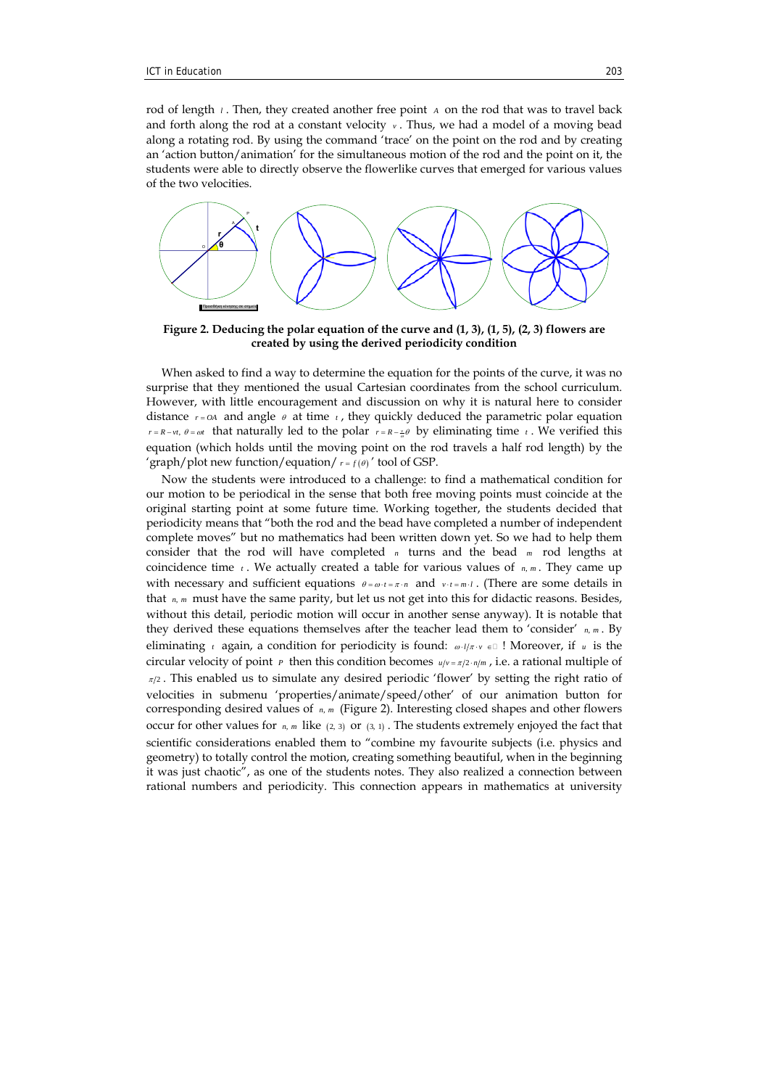rod of length *<sup>l</sup>* . Then, they created another free point *A* on the rod that was to travel back and forth along the rod at a constant velocity  $v$ . Thus, we had a model of a moving bead along a rotating rod. By using the command 'trace' on the point on the rod and by creating an 'action button/animation' for the simultaneous motion of the rod and the point on it, the students were able to directly observe the flowerlike curves that emerged for various values of the two velocities.



**Figure 2. Deducing the polar equation of the curve and (1, 3), (1, 5), (2, 3) flowers are created by using the derived periodicity condition** 

When asked to find a way to determine the equation for the points of the curve, it was no surprise that they mentioned the usual Cartesian coordinates from the school curriculum. However, with little encouragement and discussion on why it is natural here to consider distance  $r = OA$  and angle  $\theta$  at time  $t$ , they quickly deduced the parametric polar equation  $r = R - vt$ ,  $\theta = \omega t$  that naturally led to the polar  $r = R - \frac{v}{\omega} \theta$  by eliminating time *t*. We verified this equation (which holds until the moving point on the rod travels a half rod length) by the 'graph/plot new function/equation/ $r = f(\theta)$ ' tool of GSP.

Now the students were introduced to a challenge: to find a mathematical condition for our motion to be periodical in the sense that both free moving points must coincide at the original starting point at some future time. Working together, the students decided that periodicity means that "both the rod and the bead have completed a number of independent complete moves" but no mathematics had been written down yet. So we had to help them consider that the rod will have completed *n* turns and the bead *m* rod lengths at coincidence time  $t$ . We actually created a table for various values of  $n, m$ . They came up with necessary and sufficient equations  $\theta = \omega \cdot t = \pi \cdot n$  and  $\nu \cdot t = m \cdot l$ . (There are some details in that *n*, *m* must have the same parity, but let us not get into this for didactic reasons. Besides, without this detail, periodic motion will occur in another sense anyway). It is notable that they derived these equations themselves after the teacher lead them to 'consider' *n m*, . By eliminating *t* again, a condition for periodicity is found:  $\omega \cdot l/\pi \cdot v \in \mathbb{I}$  ! Moreover, if *u* is the circular velocity of point *P* then this condition becomes  $u/v = \pi/2 \cdot n/m$ , i.e. a rational multiple of  $\pi/2$ . This enabled us to simulate any desired periodic 'flower' by setting the right ratio of velocities in submenu 'properties/animate/speed/other' of our animation button for corresponding desired values of  $n, m$  (Figure 2). Interesting closed shapes and other flowers occur for other values for  $n, m$ , like  $(2, 3)$  or  $(3, 1)$ . The students extremely enjoyed the fact that scientific considerations enabled them to "combine my favourite subjects (i.e. physics and geometry) to totally control the motion, creating something beautiful, when in the beginning it was just chaotic", as one of the students notes. They also realized a connection between rational numbers and periodicity. This connection appears in mathematics at university